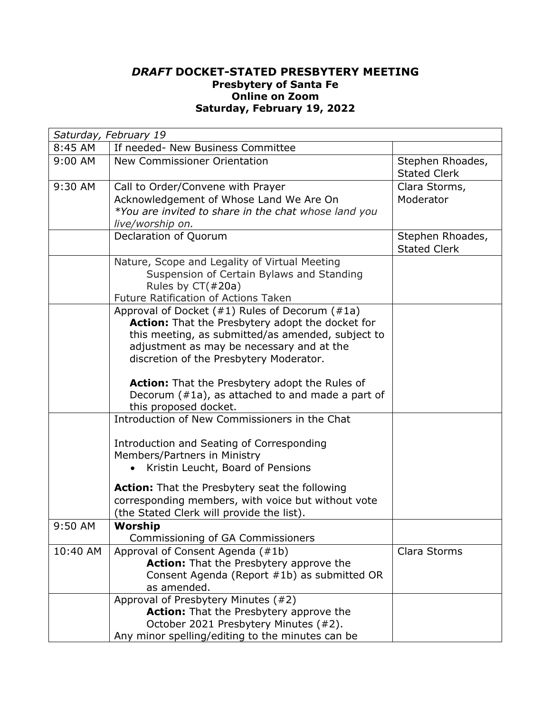## *DRAFT* **DOCKET-STATED PRESBYTERY MEETING Presbytery of Santa Fe Online on Zoom Saturday, February 19, 2022**

| Saturday, February 19 |                                                                                                                                                                                                                                                        |                                         |  |  |
|-----------------------|--------------------------------------------------------------------------------------------------------------------------------------------------------------------------------------------------------------------------------------------------------|-----------------------------------------|--|--|
| 8:45 AM               | If needed- New Business Committee                                                                                                                                                                                                                      |                                         |  |  |
| $9:00$ AM             | New Commissioner Orientation                                                                                                                                                                                                                           | Stephen Rhoades,<br><b>Stated Clerk</b> |  |  |
| 9:30 AM               | Call to Order/Convene with Prayer<br>Acknowledgement of Whose Land We Are On<br>*You are invited to share in the chat whose land you<br>live/worship on.                                                                                               | Clara Storms,<br>Moderator              |  |  |
|                       | Declaration of Quorum                                                                                                                                                                                                                                  | Stephen Rhoades,<br><b>Stated Clerk</b> |  |  |
|                       | Nature, Scope and Legality of Virtual Meeting<br>Suspension of Certain Bylaws and Standing<br>Rules by $CT(\#20a)$<br><b>Future Ratification of Actions Taken</b>                                                                                      |                                         |  |  |
|                       | Approval of Docket (#1) Rules of Decorum (#1a)<br><b>Action:</b> That the Presbytery adopt the docket for<br>this meeting, as submitted/as amended, subject to<br>adjustment as may be necessary and at the<br>discretion of the Presbytery Moderator. |                                         |  |  |
|                       | <b>Action:</b> That the Presbytery adopt the Rules of<br>Decorum $(\#1a)$ , as attached to and made a part of<br>this proposed docket.                                                                                                                 |                                         |  |  |
|                       | Introduction of New Commissioners in the Chat                                                                                                                                                                                                          |                                         |  |  |
|                       | Introduction and Seating of Corresponding<br>Members/Partners in Ministry<br>Kristin Leucht, Board of Pensions                                                                                                                                         |                                         |  |  |
|                       | Action: That the Presbytery seat the following<br>corresponding members, with voice but without vote<br>(the Stated Clerk will provide the list).                                                                                                      |                                         |  |  |
| 9:50 AM               | Worship<br>Commissioning of GA Commissioners                                                                                                                                                                                                           |                                         |  |  |
| 10:40 AM              | Approval of Consent Agenda (#1b)<br>Action: That the Presbytery approve the<br>Consent Agenda (Report #1b) as submitted OR<br>as amended.                                                                                                              | Clara Storms                            |  |  |
|                       | Approval of Presbytery Minutes (#2)<br><b>Action:</b> That the Presbytery approve the<br>October 2021 Presbytery Minutes (#2).<br>Any minor spelling/editing to the minutes can be                                                                     |                                         |  |  |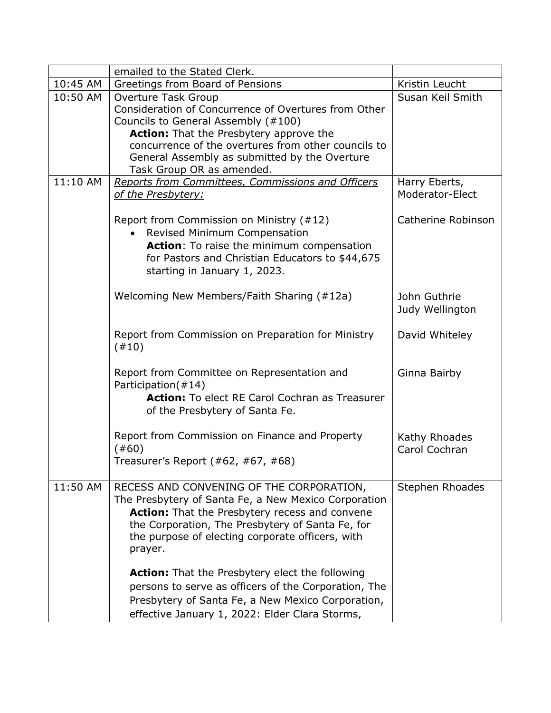|          | emailed to the Stated Clerk.                                               |                    |
|----------|----------------------------------------------------------------------------|--------------------|
| 10:45 AM | Greetings from Board of Pensions                                           | Kristin Leucht     |
| 10:50 AM | Overture Task Group                                                        | Susan Keil Smith   |
|          | Consideration of Concurrence of Overtures from Other                       |                    |
|          | Councils to General Assembly (#100)                                        |                    |
|          | <b>Action:</b> That the Presbytery approve the                             |                    |
|          | concurrence of the overtures from other councils to                        |                    |
|          | General Assembly as submitted by the Overture<br>Task Group OR as amended. |                    |
| 11:10 AM | Reports from Committees, Commissions and Officers                          | Harry Eberts,      |
|          | of the Presbytery:                                                         | Moderator-Elect    |
|          |                                                                            |                    |
|          | Report from Commission on Ministry (#12)                                   | Catherine Robinson |
|          | Revised Minimum Compensation                                               |                    |
|          | Action: To raise the minimum compensation                                  |                    |
|          | for Pastors and Christian Educators to \$44,675                            |                    |
|          | starting in January 1, 2023.                                               |                    |
|          |                                                                            |                    |
|          | Welcoming New Members/Faith Sharing (#12a)                                 | John Guthrie       |
|          |                                                                            | Judy Wellington    |
|          |                                                                            |                    |
|          | Report from Commission on Preparation for Ministry                         | David Whiteley     |
|          | (#10)                                                                      |                    |
|          |                                                                            |                    |
|          | Report from Committee on Representation and<br>Participation(#14)          | Ginna Bairby       |
|          | <b>Action:</b> To elect RE Carol Cochran as Treasurer                      |                    |
|          | of the Presbytery of Santa Fe.                                             |                    |
|          |                                                                            |                    |
|          | Report from Commission on Finance and Property                             | Kathy Rhoades      |
|          | (#60)                                                                      | Carol Cochran      |
|          | Treasurer's Report (#62, #67, #68)                                         |                    |
|          |                                                                            |                    |
| 11:50 AM | RECESS AND CONVENING OF THE CORPORATION,                                   | Stephen Rhoades    |
|          | The Presbytery of Santa Fe, a New Mexico Corporation                       |                    |
|          | <b>Action:</b> That the Presbytery recess and convene                      |                    |
|          | the Corporation, The Presbytery of Santa Fe, for                           |                    |
|          | the purpose of electing corporate officers, with                           |                    |
|          | prayer.                                                                    |                    |
|          | <b>Action:</b> That the Presbytery elect the following                     |                    |
|          | persons to serve as officers of the Corporation, The                       |                    |
|          | Presbytery of Santa Fe, a New Mexico Corporation,                          |                    |
|          |                                                                            |                    |
|          | effective January 1, 2022: Elder Clara Storms,                             |                    |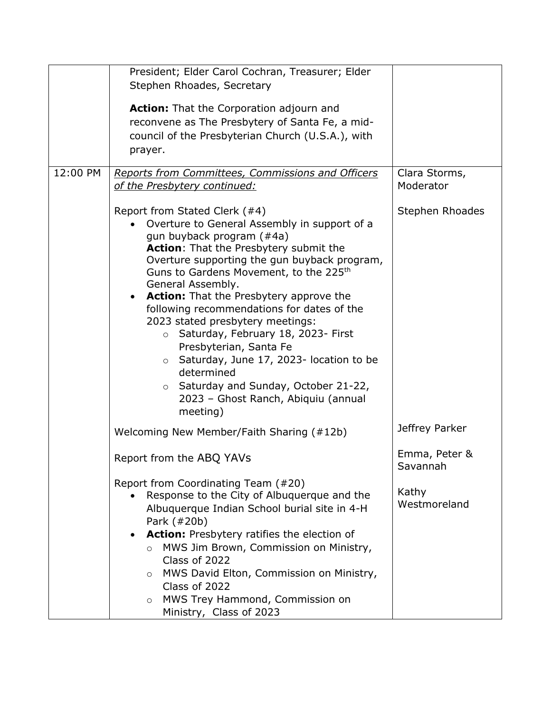|          | President; Elder Carol Cochran, Treasurer; Elder                                                                                                                                                                                                                                                                                                                                                                                                                                                                                                                                                                                                                                   |                           |
|----------|------------------------------------------------------------------------------------------------------------------------------------------------------------------------------------------------------------------------------------------------------------------------------------------------------------------------------------------------------------------------------------------------------------------------------------------------------------------------------------------------------------------------------------------------------------------------------------------------------------------------------------------------------------------------------------|---------------------------|
|          | Stephen Rhoades, Secretary                                                                                                                                                                                                                                                                                                                                                                                                                                                                                                                                                                                                                                                         |                           |
|          | <b>Action:</b> That the Corporation adjourn and<br>reconvene as The Presbytery of Santa Fe, a mid-<br>council of the Presbyterian Church (U.S.A.), with<br>prayer.                                                                                                                                                                                                                                                                                                                                                                                                                                                                                                                 |                           |
| 12:00 PM | Reports from Committees, Commissions and Officers                                                                                                                                                                                                                                                                                                                                                                                                                                                                                                                                                                                                                                  | Clara Storms,             |
|          | of the Presbytery continued:                                                                                                                                                                                                                                                                                                                                                                                                                                                                                                                                                                                                                                                       | Moderator                 |
|          | Report from Stated Clerk (#4)<br>Overture to General Assembly in support of a<br>gun buyback program (#4a)<br><b>Action:</b> That the Presbytery submit the<br>Overture supporting the gun buyback program,<br>Guns to Gardens Movement, to the 225 <sup>th</sup><br>General Assembly.<br><b>Action:</b> That the Presbytery approve the<br>$\bullet$<br>following recommendations for dates of the<br>2023 stated presbytery meetings:<br>Saturday, February 18, 2023- First<br>$\circ$<br>Presbyterian, Santa Fe<br>Saturday, June 17, 2023- location to be<br>$\circ$<br>determined<br>o Saturday and Sunday, October 21-22,<br>2023 - Ghost Ranch, Abiquiu (annual<br>meeting) | Stephen Rhoades           |
|          | Welcoming New Member/Faith Sharing (#12b)                                                                                                                                                                                                                                                                                                                                                                                                                                                                                                                                                                                                                                          | Jeffrey Parker            |
|          | Report from the ABQ YAVs                                                                                                                                                                                                                                                                                                                                                                                                                                                                                                                                                                                                                                                           | Emma, Peter &<br>Savannah |
|          | Report from Coordinating Team (#20)<br>Response to the City of Albuquerque and the<br>Albuquerque Indian School burial site in 4-H<br>Park (#20b)<br><b>Action:</b> Presbytery ratifies the election of<br>MWS Jim Brown, Commission on Ministry,<br>$\circ$<br>Class of 2022<br>MWS David Elton, Commission on Ministry,<br>$\circ$<br>Class of 2022<br>MWS Trey Hammond, Commission on<br>$\circ$<br>Ministry, Class of 2023                                                                                                                                                                                                                                                     | Kathy<br>Westmoreland     |